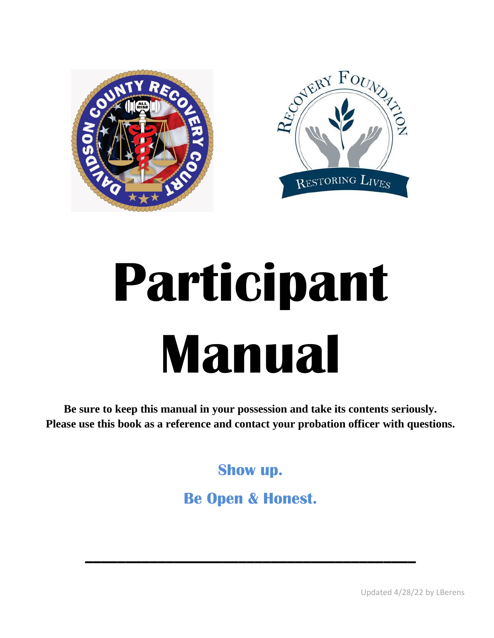



# **Participant Manual**

**Be sure to keep this manual in your possession and take its contents seriously. Please use this book as a reference and contact your probation officer with questions.** 

**Show up.**

**Be Open & Honest.**

 $\mathcal{L} = \{ \mathcal{L} \mid \mathcal{L} \in \mathcal{L} \}$  , where  $\mathcal{L} = \{ \mathcal{L} \mid \mathcal{L} \in \mathcal{L} \}$ 

Updated 4/28/22 by LBerens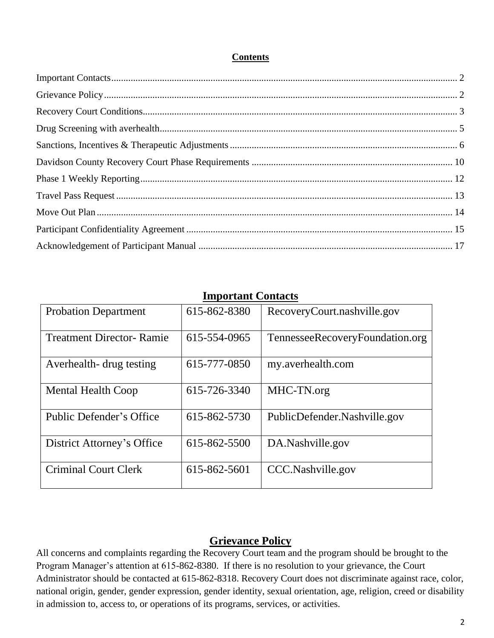#### **Contents**

<span id="page-1-0"></span>

| mipol tant Contacts             |              |                                 |
|---------------------------------|--------------|---------------------------------|
| <b>Probation Department</b>     | 615-862-8380 | RecoveryCourt.nashville.gov     |
| <b>Treatment Director-Ramie</b> | 615-554-0965 | TennesseeRecoveryFoundation.org |
| Averhealth-drug testing         | 615-777-0850 | my.averhealth.com               |
| <b>Mental Health Coop</b>       | 615-726-3340 | MHC-TN.org                      |
| Public Defender's Office        | 615-862-5730 | PublicDefender.Nashville.gov    |
| District Attorney's Office      | 615-862-5500 | DA.Nashville.gov                |
| <b>Criminal Court Clerk</b>     | 615-862-5601 | CCC.Nashville.gov               |

### **Important Contacts**

#### **Grievance Policy**

<span id="page-1-1"></span>All concerns and complaints regarding the Recovery Court team and the program should be brought to the Program Manager's attention at 615-862-8380. If there is no resolution to your grievance, the Court Administrator should be contacted at 615-862-8318. Recovery Court does not discriminate against race, color, national origin, gender, gender expression, gender identity, sexual orientation, age, religion, creed or disability in admission to, access to, or operations of its programs, services, or activities.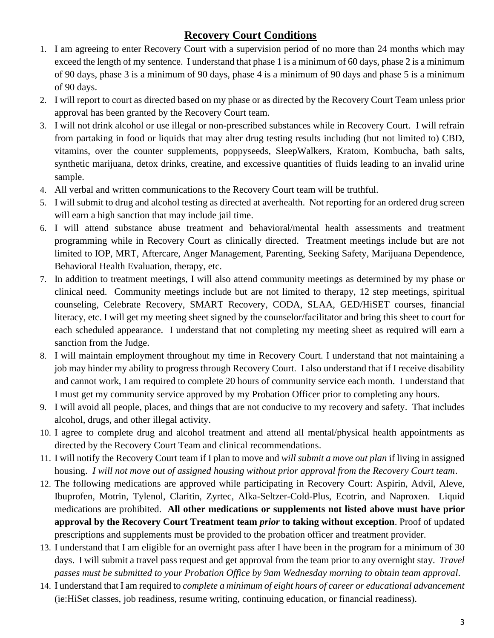# **Recovery Court Conditions**

- <span id="page-2-0"></span>1. I am agreeing to enter Recovery Court with a supervision period of no more than 24 months which may exceed the length of my sentence. I understand that phase 1 is a minimum of 60 days, phase 2 is a minimum of 90 days, phase 3 is a minimum of 90 days, phase 4 is a minimum of 90 days and phase 5 is a minimum of 90 days.
- 2. I will report to court as directed based on my phase or as directed by the Recovery Court Team unless prior approval has been granted by the Recovery Court team.
- 3. I will not drink alcohol or use illegal or non-prescribed substances while in Recovery Court. I will refrain from partaking in food or liquids that may alter drug testing results including (but not limited to) CBD, vitamins, over the counter supplements, poppyseeds, SleepWalkers, Kratom, Kombucha, bath salts, synthetic marijuana, detox drinks, creatine, and excessive quantities of fluids leading to an invalid urine sample.
- 4. All verbal and written communications to the Recovery Court team will be truthful.
- 5. I will submit to drug and alcohol testing as directed at averhealth. Not reporting for an ordered drug screen will earn a high sanction that may include jail time.
- 6. I will attend substance abuse treatment and behavioral/mental health assessments and treatment programming while in Recovery Court as clinically directed. Treatment meetings include but are not limited to IOP, MRT, Aftercare, Anger Management, Parenting, Seeking Safety, Marijuana Dependence, Behavioral Health Evaluation, therapy, etc.
- 7. In addition to treatment meetings, I will also attend community meetings as determined by my phase or clinical need. Community meetings include but are not limited to therapy, 12 step meetings, spiritual counseling, Celebrate Recovery, SMART Recovery, CODA, SLAA, GED/HiSET courses, financial literacy, etc. I will get my meeting sheet signed by the counselor/facilitator and bring this sheet to court for each scheduled appearance. I understand that not completing my meeting sheet as required will earn a sanction from the Judge.
- 8. I will maintain employment throughout my time in Recovery Court. I understand that not maintaining a job may hinder my ability to progress through Recovery Court. I also understand that if I receive disability and cannot work, I am required to complete 20 hours of community service each month. I understand that I must get my community service approved by my Probation Officer prior to completing any hours.
- 9. I will avoid all people, places, and things that are not conducive to my recovery and safety. That includes alcohol, drugs, and other illegal activity.
- 10. I agree to complete drug and alcohol treatment and attend all mental/physical health appointments as directed by the Recovery Court Team and clinical recommendations.
- 11. I will notify the Recovery Court team if I plan to move and *will submit a move out plan* if living in assigned housing. *I will not move out of assigned housing without prior approval from the Recovery Court team*.
- 12. The following medications are approved while participating in Recovery Court: Aspirin, Advil, Aleve, Ibuprofen, Motrin, Tylenol, Claritin, Zyrtec, Alka-Seltzer-Cold-Plus, Ecotrin, and Naproxen. Liquid medications are prohibited. **All other medications or supplements not listed above must have prior approval by the Recovery Court Treatment team** *prior* **to taking without exception**. Proof of updated prescriptions and supplements must be provided to the probation officer and treatment provider.
- 13. I understand that I am eligible for an overnight pass after I have been in the program for a minimum of 30 days. I will submit a travel pass request and get approval from the team prior to any overnight stay. *Travel passes must be submitted to your Probation Office by 9am Wednesday morning to obtain team approval*.
- 14. I understand that I am required to *complete a minimum of eight hours of career or educational advancement* (ie:HiSet classes, job readiness, resume writing, continuing education, or financial readiness).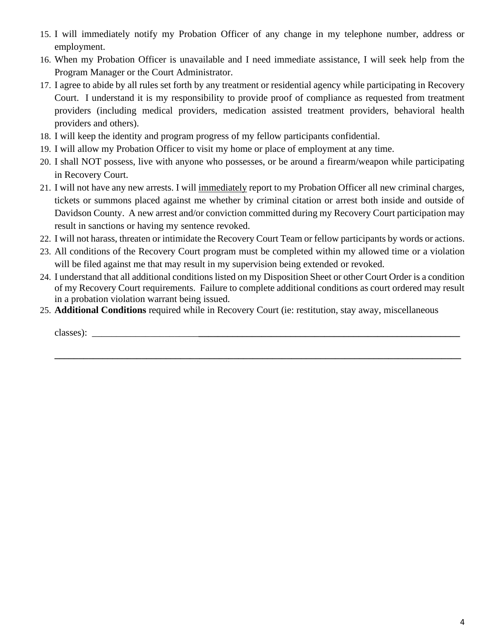- 15. I will immediately notify my Probation Officer of any change in my telephone number, address or employment.
- 16. When my Probation Officer is unavailable and I need immediate assistance, I will seek help from the Program Manager or the Court Administrator.
- 17. I agree to abide by all rules set forth by any treatment or residential agency while participating in Recovery Court. I understand it is my responsibility to provide proof of compliance as requested from treatment providers (including medical providers, medication assisted treatment providers, behavioral health providers and others).
- 18. I will keep the identity and program progress of my fellow participants confidential.
- 19. I will allow my Probation Officer to visit my home or place of employment at any time.
- 20. I shall NOT possess, live with anyone who possesses, or be around a firearm/weapon while participating in Recovery Court.
- 21. I will not have any new arrests. I will immediately report to my Probation Officer all new criminal charges, tickets or summons placed against me whether by criminal citation or arrest both inside and outside of Davidson County. A new arrest and/or conviction committed during my Recovery Court participation may result in sanctions or having my sentence revoked.
- 22. I will not harass, threaten or intimidate the Recovery Court Team or fellow participants by words or actions.
- 23. All conditions of the Recovery Court program must be completed within my allowed time or a violation will be filed against me that may result in my supervision being extended or revoked.
- 24. I understand that all additional conditions listed on my Disposition Sheet or other Court Order is a condition of my Recovery Court requirements. Failure to complete additional conditions as court ordered may result in a probation violation warrant being issued.

**\_\_\_\_\_\_\_\_\_\_\_\_\_\_\_\_\_\_\_\_\_\_\_\_\_\_\_\_\_\_\_\_\_\_\_\_\_\_\_\_\_\_\_\_\_\_\_\_\_\_\_\_\_\_\_\_\_\_\_\_\_\_\_\_\_\_\_\_\_\_\_\_\_\_\_\_\_\_\_\_\_\_\_\_**

25. **Additional Conditions** required while in Recovery Court (ie: restitution, stay away, miscellaneous

classes): \_\_\_\_\_\_\_\_\_\_\_\_\_\_\_\_\_\_\_\_\_\_**\_\_\_\_\_\_\_\_\_\_\_\_\_\_\_\_\_\_\_\_\_\_\_\_\_\_\_\_\_\_\_\_\_\_\_\_\_\_\_\_\_\_\_\_\_\_\_\_\_\_\_\_\_\_**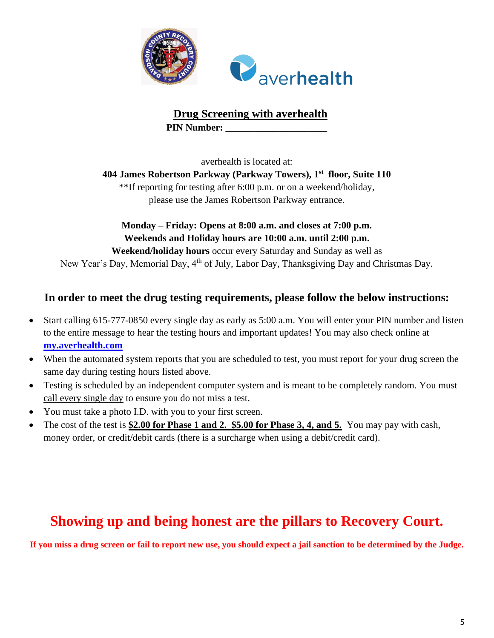

**Drug Screening with averhealth PIN Number:** 

averhealth is located at:

<span id="page-4-0"></span>**404 James Robertson Parkway (Parkway Towers), 1st floor, Suite 110**

\*\*If reporting for testing after 6:00 p.m. or on a weekend/holiday, please use the James Robertson Parkway entrance.

**Monday – Friday: Opens at 8:00 a.m. and closes at 7:00 p.m. Weekends and Holiday hours are 10:00 a.m. until 2:00 p.m.**

**Weekend/holiday hours** occur every Saturday and Sunday as well as New Year's Day, Memorial Day, 4<sup>th</sup> of July, Labor Day, Thanksgiving Day and Christmas Day.

## **In order to meet the drug testing requirements, please follow the below instructions:**

- Start calling 615-777-0850 every single day as early as 5:00 a.m. You will enter your PIN number and listen to the entire message to hear the testing hours and important updates! You may also check online at **[my.averhealth.com](http://www.my.averhealth.com/)**
- When the automated system reports that you are scheduled to test, you must report for your drug screen the same day during testing hours listed above.
- Testing is scheduled by an independent computer system and is meant to be completely random. You must call every single day to ensure you do not miss a test.
- You must take a photo I.D. with you to your first screen.
- The cost of the test is **\$2.00 for Phase 1 and 2. \$5.00 for Phase 3, 4, and 5.** You may pay with cash, money order, or credit/debit cards (there is a surcharge when using a debit/credit card).

# **Showing up and being honest are the pillars to Recovery Court.**

**If you miss a drug screen or fail to report new use, you should expect a jail sanction to be determined by the Judge.**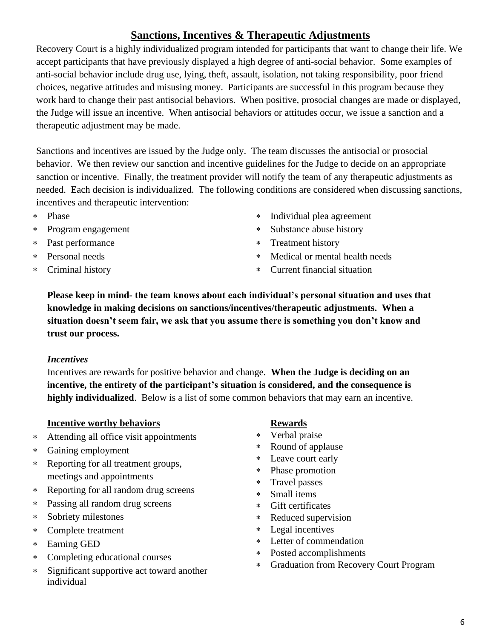# **Sanctions, Incentives & Therapeutic Adjustments**

<span id="page-5-0"></span>Recovery Court is a highly individualized program intended for participants that want to change their life. We accept participants that have previously displayed a high degree of anti-social behavior. Some examples of anti-social behavior include drug use, lying, theft, assault, isolation, not taking responsibility, poor friend choices, negative attitudes and misusing money. Participants are successful in this program because they work hard to change their past antisocial behaviors. When positive, prosocial changes are made or displayed, the Judge will issue an incentive. When antisocial behaviors or attitudes occur, we issue a sanction and a therapeutic adjustment may be made.

Sanctions and incentives are issued by the Judge only. The team discusses the antisocial or prosocial behavior. We then review our sanction and incentive guidelines for the Judge to decide on an appropriate sanction or incentive. Finally, the treatment provider will notify the team of any therapeutic adjustments as needed. Each decision is individualized. The following conditions are considered when discussing sanctions, incentives and therapeutic intervention:

- Phase
- Program engagement
- Past performance
- Personal needs
- Criminal history
- Individual plea agreement
- Substance abuse history
- \* Treatment history
- Medical or mental health needs
- Current financial situation

**Please keep in mind- the team knows about each individual's personal situation and uses that knowledge in making decisions on sanctions/incentives/therapeutic adjustments. When a situation doesn't seem fair, we ask that you assume there is something you don't know and trust our process.**

#### *Incentives*

Incentives are rewards for positive behavior and change. **When the Judge is deciding on an incentive, the entirety of the participant's situation is considered, and the consequence is highly individualized**. Below is a list of some common behaviors that may earn an incentive.

#### **Incentive worthy behaviors**

- Attending all office visit appointments
- Gaining employment
- Reporting for all treatment groups, meetings and appointments
- Reporting for all random drug screens
- Passing all random drug screens
- Sobriety milestones
- Complete treatment
- Earning GED
- Completing educational courses
- Significant supportive act toward another individual

#### **Rewards**

- Verbal praise
- Round of applause
- Leave court early
- Phase promotion
- Travel passes
- Small items
- Gift certificates
- Reduced supervision
- Legal incentives
- Letter of commendation
- Posted accomplishments
- Graduation from Recovery Court Program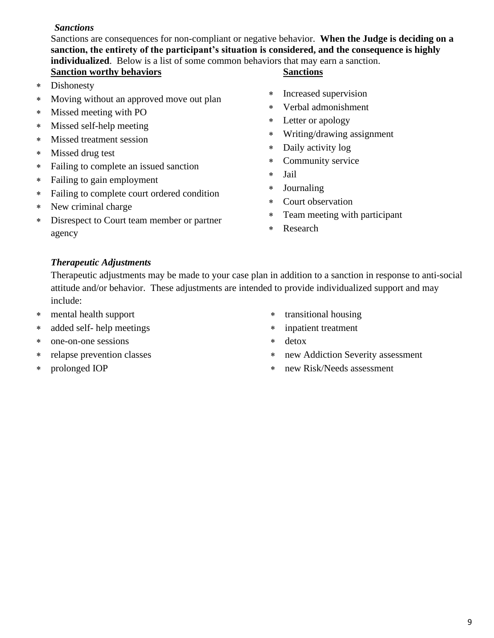#### *Sanctions*

Sanctions are consequences for non-compliant or negative behavior. **When the Judge is deciding on a sanction, the entirety of the participant's situation is considered, and the consequence is highly individualized**. Below is a list of some common behaviors that may earn a sanction. **Sanction worthy behaviors Sanctions**

- Dishonesty
- Moving without an approved move out plan
- Missed meeting with PO
- Missed self-help meeting
- Missed treatment session
- Missed drug test
- Failing to complete an issued sanction
- Failing to gain employment
- Failing to complete court ordered condition
- New criminal charge
- Disrespect to Court team member or partner agency

- Increased supervision
- Verbal admonishment
- Letter or apology
- Writing/drawing assignment
- Daily activity log
- Community service
- Jail
- Journaling
- Court observation
- Team meeting with participant
- Research

#### *Therapeutic Adjustments*

Therapeutic adjustments may be made to your case plan in addition to a sanction in response to anti-social attitude and/or behavior. These adjustments are intended to provide individualized support and may include:

- mental health support
- added self- help meetings
- one-on-one sessions
- relapse prevention classes
- prolonged IOP
- transitional housing
- inpatient treatment
- detox
- new Addiction Severity assessment
- new Risk/Needs assessment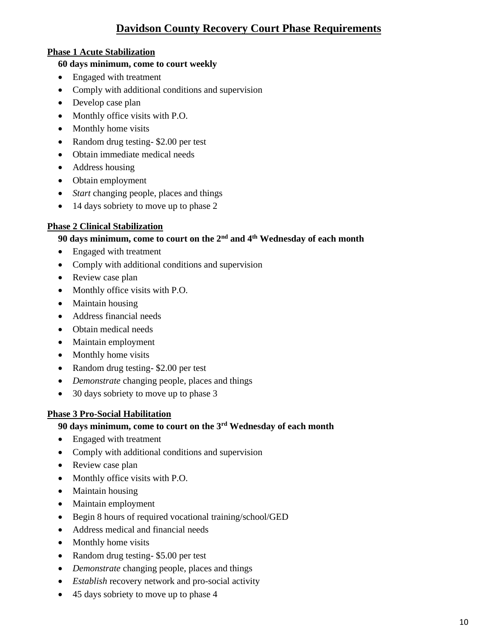# **Davidson County Recovery Court Phase Requirements**

#### <span id="page-7-0"></span>**Phase 1 Acute Stabilization**

#### **60 days minimum, come to court weekly**

- Engaged with treatment
- Comply with additional conditions and supervision
- Develop case plan
- Monthly office visits with P.O.
- Monthly home visits
- Random drug testing- \$2.00 per test
- Obtain immediate medical needs
- Address housing
- Obtain employment
- *Start* changing people, places and things
- 14 days sobriety to move up to phase 2

#### **Phase 2 Clinical Stabilization**

#### **90 days minimum, come to court on the 2nd and 4th Wednesday of each month**

- Engaged with treatment
- Comply with additional conditions and supervision
- Review case plan
- Monthly office visits with P.O.
- Maintain housing
- Address financial needs
- Obtain medical needs
- Maintain employment
- Monthly home visits
- Random drug testing- \$2.00 per test
- *Demonstrate* changing people, places and things
- 30 days sobriety to move up to phase 3

#### **Phase 3 Pro-Social Habilitation**

#### **90 days minimum, come to court on the 3rd Wednesday of each month**

- Engaged with treatment
- Comply with additional conditions and supervision
- Review case plan
- Monthly office visits with P.O.
- Maintain housing
- Maintain employment
- Begin 8 hours of required vocational training/school/GED
- Address medical and financial needs
- Monthly home visits
- Random drug testing- \$5.00 per test
- *Demonstrate* changing people, places and things
- *Establish* recovery network and pro-social activity
- 45 days sobriety to move up to phase 4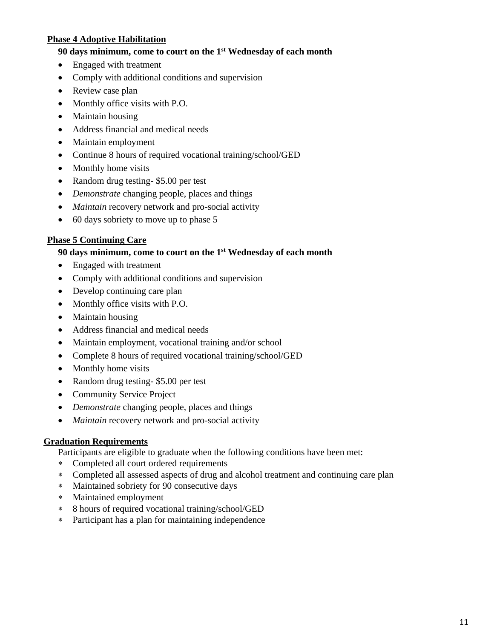#### **Phase 4 Adoptive Habilitation**

#### **90 days minimum, come to court on the 1st Wednesday of each month**

- Engaged with treatment
- Comply with additional conditions and supervision
- Review case plan
- Monthly office visits with P.O.
- Maintain housing
- Address financial and medical needs
- Maintain employment
- Continue 8 hours of required vocational training/school/GED
- Monthly home visits
- Random drug testing- \$5.00 per test
- *Demonstrate* changing people, places and things
- *Maintain* recovery network and pro-social activity
- 60 days sobriety to move up to phase 5

#### **Phase 5 Continuing Care**

#### **90 days minimum, come to court on the 1st Wednesday of each month**

- Engaged with treatment
- Comply with additional conditions and supervision
- Develop continuing care plan
- Monthly office visits with P.O.
- Maintain housing
- Address financial and medical needs
- Maintain employment, vocational training and/or school
- Complete 8 hours of required vocational training/school/GED
- Monthly home visits
- Random drug testing- \$5.00 per test
- Community Service Project
- *Demonstrate* changing people, places and things
- *Maintain* recovery network and pro-social activity

#### **Graduation Requirements**

Participants are eligible to graduate when the following conditions have been met:

- Completed all court ordered requirements
- Completed all assessed aspects of drug and alcohol treatment and continuing care plan
- Maintained sobriety for 90 consecutive days
- Maintained employment
- 8 hours of required vocational training/school/GED
- Participant has a plan for maintaining independence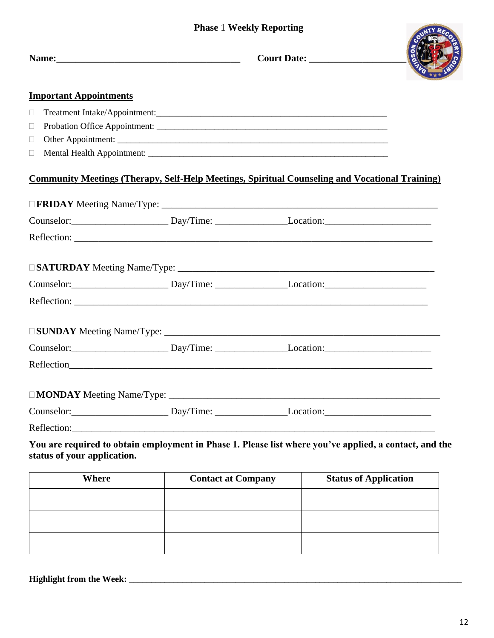#### <span id="page-9-0"></span>**Phase** 1 **Weekly Reporting**

| <b>Important Appointments</b> |                                                                                                        |  |
|-------------------------------|--------------------------------------------------------------------------------------------------------|--|
| $\Box$                        |                                                                                                        |  |
| $\Box$                        |                                                                                                        |  |
| $\Box$                        |                                                                                                        |  |
| $\Box$                        |                                                                                                        |  |
|                               | <b>Community Meetings (Therapy, Self-Help Meetings, Spiritual Counseling and Vocational Training)</b>  |  |
|                               |                                                                                                        |  |
|                               | Counselor: Day/Time: Location: Location:                                                               |  |
|                               |                                                                                                        |  |
|                               |                                                                                                        |  |
|                               | Counselor: Day/Time: Location: Location:                                                               |  |
|                               |                                                                                                        |  |
|                               |                                                                                                        |  |
|                               | Counselor: Day/Time: Location: Location:                                                               |  |
|                               |                                                                                                        |  |
|                               |                                                                                                        |  |
|                               | Counselor: Day/Time: Location: Location:                                                               |  |
|                               |                                                                                                        |  |
| status of your application.   | You are required to obtain employment in Phase 1. Please list where you've applied, a contact, and the |  |

| Where | <b>Contact at Company</b> | <b>Status of Application</b> |
|-------|---------------------------|------------------------------|
|       |                           |                              |
|       |                           |                              |
|       |                           |                              |
|       |                           |                              |

**Highlight from the Week: \_\_\_\_\_\_\_\_\_\_\_\_\_\_\_\_\_\_\_\_\_\_\_\_\_\_\_\_\_\_\_\_\_\_\_\_\_\_\_\_\_\_\_\_\_\_\_\_\_\_\_\_\_\_\_\_\_\_\_\_\_\_\_\_\_\_\_\_\_\_\_\_\_\_\_**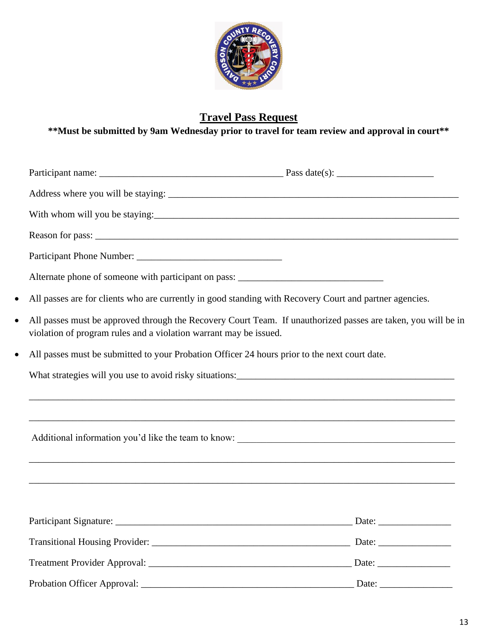

# **Travel Pass Request**

<span id="page-10-0"></span>**\*\*Must be submitted by 9am Wednesday prior to travel for team review and approval in court\*\***

| $\bullet$                                                                                                  | All passes are for clients who are currently in good standing with Recovery Court and partner agencies.       |
|------------------------------------------------------------------------------------------------------------|---------------------------------------------------------------------------------------------------------------|
| $\bullet$<br>violation of program rules and a violation warrant may be issued.                             | All passes must be approved through the Recovery Court Team. If unauthorized passes are taken, you will be in |
| All passes must be submitted to your Probation Officer 24 hours prior to the next court date.<br>$\bullet$ |                                                                                                               |
|                                                                                                            |                                                                                                               |
|                                                                                                            |                                                                                                               |
|                                                                                                            |                                                                                                               |
|                                                                                                            |                                                                                                               |
|                                                                                                            | ,我们也不能在这里的时候,我们也不能在这里的时候,我们也不能会在这里的时候,我们也不能会在这里的时候,我们也不能会在这里的时候,我们也不能会在这里的时候,我们也不                             |
| Participant Signature:                                                                                     | Date:                                                                                                         |
|                                                                                                            |                                                                                                               |
|                                                                                                            |                                                                                                               |
|                                                                                                            |                                                                                                               |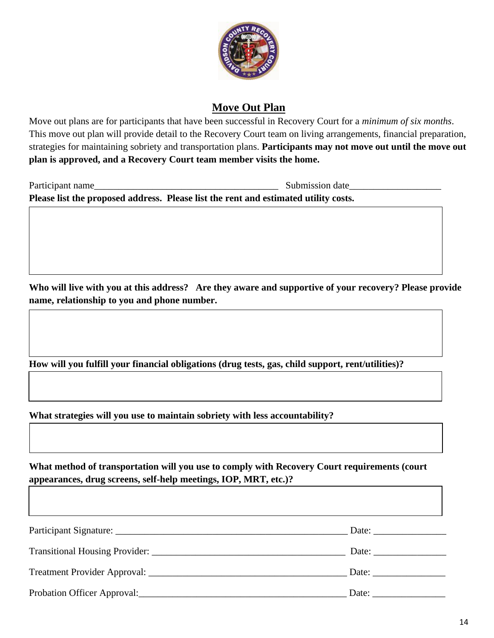

### **Move Out Plan**

<span id="page-11-0"></span>Move out plans are for participants that have been successful in Recovery Court for a *minimum of six months*. This move out plan will provide detail to the Recovery Court team on living arrangements, financial preparation, strategies for maintaining sobriety and transportation plans. **Participants may not move out until the move out plan is approved, and a Recovery Court team member visits the home.**

| Participant name | Submission date                                                                     |  |
|------------------|-------------------------------------------------------------------------------------|--|
|                  | Please list the proposed address. Please list the rent and estimated utility costs. |  |

**Who will live with you at this address? Are they aware and supportive of your recovery? Please provide name, relationship to you and phone number.**

**How will you fulfill your financial obligations (drug tests, gas, child support, rent/utilities)?**

**What strategies will you use to maintain sobriety with less accountability?**

**What method of transportation will you use to comply with Recovery Court requirements (court appearances, drug screens, self-help meetings, IOP, MRT, etc.)?**

|                                                                                                                 | Date: $\frac{1}{\sqrt{1-\frac{1}{2}} \cdot \frac{1}{2}}$ |
|-----------------------------------------------------------------------------------------------------------------|----------------------------------------------------------|
|                                                                                                                 | Date:                                                    |
| Probation Officer Approval: 2008 and 2008 and 2008 and 2008 and 2008 and 2008 and 2008 and 2008 and 2008 and 20 | Date: $\qquad \qquad$                                    |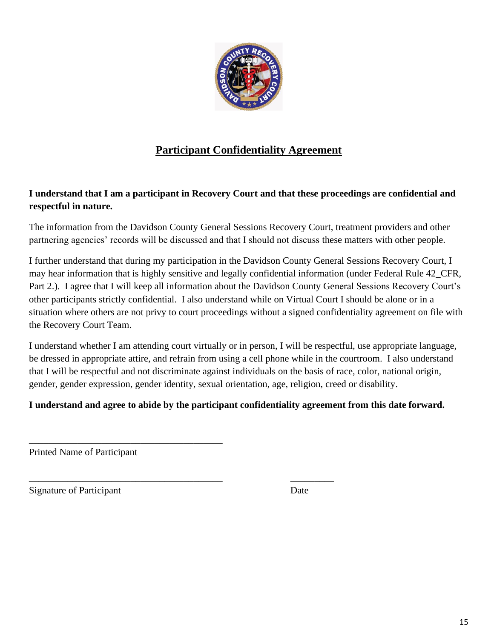

# **Participant Confidentiality Agreement**

#### <span id="page-12-0"></span>**I understand that I am a participant in Recovery Court and that these proceedings are confidential and respectful in nature.**

The information from the Davidson County General Sessions Recovery Court, treatment providers and other partnering agencies' records will be discussed and that I should not discuss these matters with other people.

I further understand that during my participation in the Davidson County General Sessions Recovery Court, I may hear information that is highly sensitive and legally confidential information (under Federal Rule 42\_CFR, Part 2.). I agree that I will keep all information about the Davidson County General Sessions Recovery Court's other participants strictly confidential. I also understand while on Virtual Court I should be alone or in a situation where others are not privy to court proceedings without a signed confidentiality agreement on file with the Recovery Court Team.

I understand whether I am attending court virtually or in person, I will be respectful, use appropriate language, be dressed in appropriate attire, and refrain from using a cell phone while in the courtroom. I also understand that I will be respectful and not discriminate against individuals on the basis of race, color, national origin, gender, gender expression, gender identity, sexual orientation, age, religion, creed or disability.

#### **I understand and agree to abide by the participant confidentiality agreement from this date forward.**

Printed Name of Participant

\_\_\_\_\_\_\_\_\_\_\_\_\_\_\_\_\_\_\_\_\_\_\_\_\_\_\_\_\_\_\_\_\_\_\_\_\_\_\_\_

\_\_\_\_\_\_\_\_\_\_\_\_\_\_\_\_\_\_\_\_\_\_\_\_\_\_\_\_\_\_\_\_\_\_\_\_\_\_\_\_ \_\_\_\_\_\_\_\_\_

Signature of Participant Date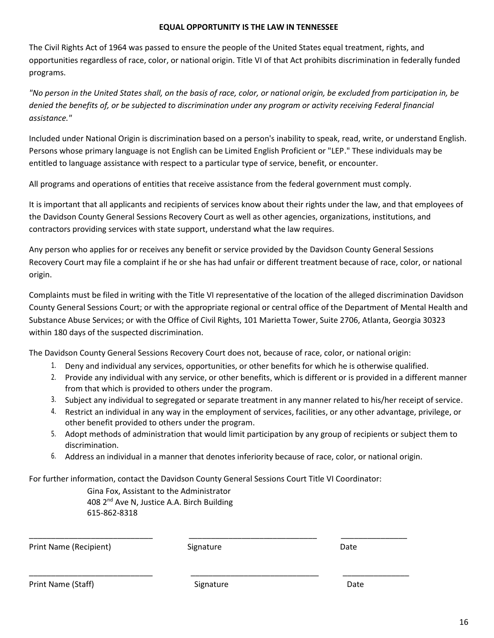#### **EQUAL OPPORTUNITY IS THE LAW IN TENNESSEE**

The Civil Rights Act of 1964 was passed to ensure the people of the United States equal treatment, rights, and opportunities regardless of race, color, or national origin. Title VI of that Act prohibits discrimination in federally funded programs.

*"No person in the United States shall, on the basis of race, color, or national origin, be excluded from participation in, be* denied the benefits of, or be subjected to discrimination under any program or activity receiving Federal financial *assistance."*

Included under National Origin is discrimination based on a person's inability to speak, read, write, or understand English. Persons whose primary language is not English can be Limited English Proficient or "LEP." These individuals may be entitled to language assistance with respect to a particular type of service, benefit, or encounter.

All programs and operations of entities that receive assistance from the federal government must comply.

It is important that all applicants and recipients of services know about their rights under the law, and that employees of the Davidson County General Sessions Recovery Court as well as other agencies, organizations, institutions, and contractors providing services with state support, understand what the law requires.

Any person who applies for or receives any benefit or service provided by the Davidson County General Sessions Recovery Court may file a complaint if he or she has had unfair or different treatment because of race, color, or national origin.

Complaints must be filed in writing with the Title VI representative of the location of the alleged discrimination Davidson County General Sessions Court; or with the appropriate regional or central office of the Department of Mental Health and Substance Abuse Services; or with the Office of Civil Rights, 101 Marietta Tower, Suite 2706, Atlanta, Georgia 30323 within 180 days of the suspected discrimination.

The Davidson County General Sessions Recovery Court does not, because of race, color, or national origin:

- 1. Deny and individual any services, opportunities, or other benefits for which he is otherwise qualified.
- 2. Provide any individual with any service, or other benefits, which is different or is provided in a different manner from that which is provided to others under the program.
- 3. Subject any individual to segregated or separate treatment in any manner related to his/her receipt of service.
- 4. Restrict an individual in any way in the employment of services, facilities, or any other advantage, privilege, or other benefit provided to others under the program.
- 5. Adopt methods of administration that would limit participation by any group of recipients or subject them to discrimination.
- 6. Address an individual in a manner that denotes inferiority because of race, color, or national origin.

For further information, contact the Davidson County General Sessions Court Title VI Coordinator:

Gina Fox, Assistant to the Administrator 408  $2<sup>nd</sup>$  Ave N, Justice A.A. Birch Building 615-862-8318

| Print Name (Recipient) | Signature | Date |
|------------------------|-----------|------|
|                        |           |      |
| Print Name (Staff)     | Signature | Date |